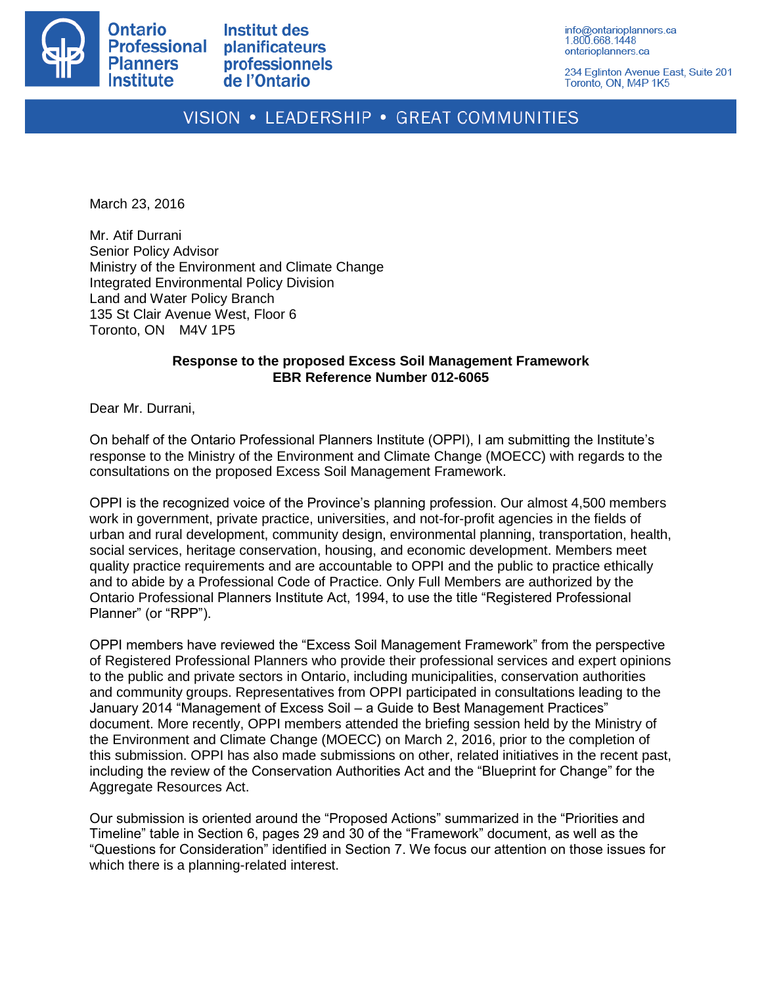

**Institut des** planificateurs professionnels de l'Ontario

info@ontarioplanners.ca 1.800.668.1448 ontarioplanners.ca

234 Eglinton Avenue East, Suite 201 Toronto, ON, M4P 1K5

# VISION • LEADERSHIP • GREAT COMMUNITIES

March 23, 2016

Mr. Atif Durrani Senior Policy Advisor Ministry of the Environment and Climate Change Integrated Environmental Policy Division Land and Water Policy Branch 135 St Clair Avenue West, Floor 6 Toronto, ON M4V 1P5

#### **Response to the proposed Excess Soil Management Framework EBR Reference Number 012-6065**

Dear Mr. Durrani,

On behalf of the Ontario Professional Planners Institute (OPPI), I am submitting the Institute's response to the Ministry of the Environment and Climate Change (MOECC) with regards to the consultations on the proposed Excess Soil Management Framework.

OPPI is the recognized voice of the Province's planning profession. Our almost 4,500 members work in government, private practice, universities, and not-for-profit agencies in the fields of urban and rural development, community design, environmental planning, transportation, health, social services, heritage conservation, housing, and economic development. Members meet quality practice requirements and are accountable to OPPI and the public to practice ethically and to abide by a Professional Code of Practice. Only Full Members are authorized by the Ontario Professional Planners Institute Act, 1994, to use the title "Registered Professional Planner" (or "RPP").

OPPI members have reviewed the "Excess Soil Management Framework" from the perspective of Registered Professional Planners who provide their professional services and expert opinions to the public and private sectors in Ontario, including municipalities, conservation authorities and community groups. Representatives from OPPI participated in consultations leading to the January 2014 "Management of Excess Soil – a Guide to Best Management Practices" document. More recently, OPPI members attended the briefing session held by the Ministry of the Environment and Climate Change (MOECC) on March 2, 2016, prior to the completion of this submission. OPPI has also made submissions on other, related initiatives in the recent past, including the review of the Conservation Authorities Act and the "Blueprint for Change" for the Aggregate Resources Act.

Our submission is oriented around the "Proposed Actions" summarized in the "Priorities and Timeline" table in Section 6, pages 29 and 30 of the "Framework" document, as well as the "Questions for Consideration" identified in Section 7. We focus our attention on those issues for which there is a planning-related interest.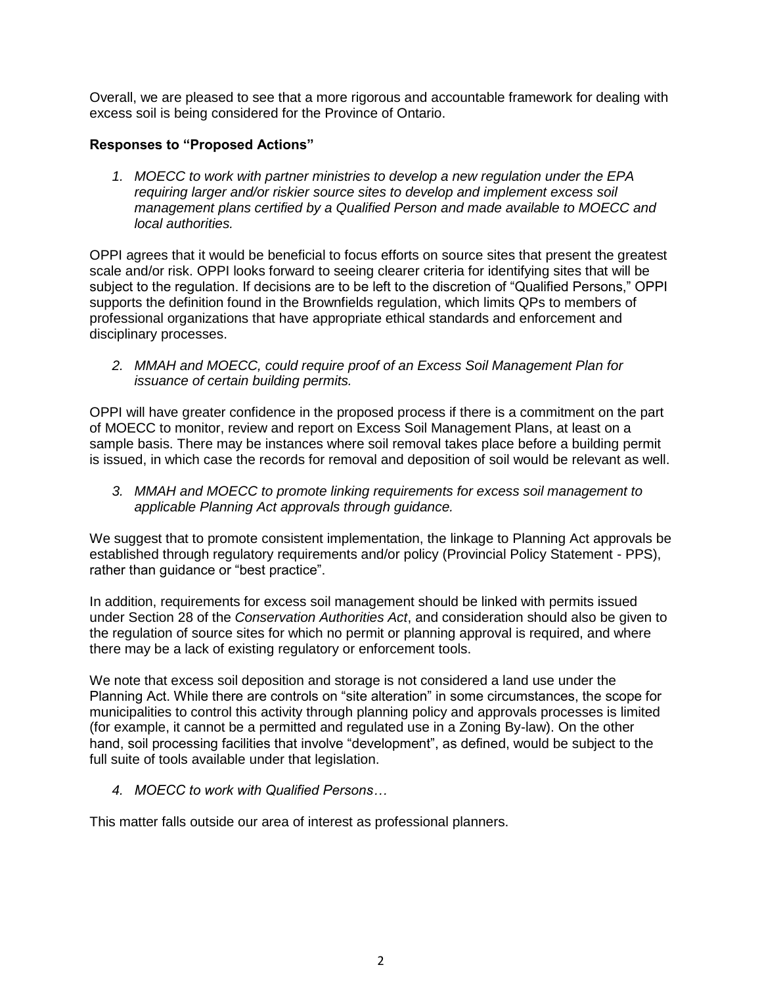Overall, we are pleased to see that a more rigorous and accountable framework for dealing with excess soil is being considered for the Province of Ontario.

# **Responses to "Proposed Actions"**

*1. MOECC to work with partner ministries to develop a new regulation under the EPA requiring larger and/or riskier source sites to develop and implement excess soil management plans certified by a Qualified Person and made available to MOECC and local authorities.* 

OPPI agrees that it would be beneficial to focus efforts on source sites that present the greatest scale and/or risk. OPPI looks forward to seeing clearer criteria for identifying sites that will be subject to the regulation. If decisions are to be left to the discretion of "Qualified Persons," OPPI supports the definition found in the Brownfields regulation, which limits QPs to members of professional organizations that have appropriate ethical standards and enforcement and disciplinary processes.

*2. MMAH and MOECC, could require proof of an Excess Soil Management Plan for issuance of certain building permits.*

OPPI will have greater confidence in the proposed process if there is a commitment on the part of MOECC to monitor, review and report on Excess Soil Management Plans, at least on a sample basis. There may be instances where soil removal takes place before a building permit is issued, in which case the records for removal and deposition of soil would be relevant as well.

*3. MMAH and MOECC to promote linking requirements for excess soil management to applicable Planning Act approvals through guidance.*

We suggest that to promote consistent implementation, the linkage to Planning Act approvals be established through regulatory requirements and/or policy (Provincial Policy Statement - PPS), rather than guidance or "best practice".

In addition, requirements for excess soil management should be linked with permits issued under Section 28 of the *Conservation Authorities Act*, and consideration should also be given to the regulation of source sites for which no permit or planning approval is required, and where there may be a lack of existing regulatory or enforcement tools.

We note that excess soil deposition and storage is not considered a land use under the Planning Act. While there are controls on "site alteration" in some circumstances, the scope for municipalities to control this activity through planning policy and approvals processes is limited (for example, it cannot be a permitted and regulated use in a Zoning By-law). On the other hand, soil processing facilities that involve "development", as defined, would be subject to the full suite of tools available under that legislation.

*4. MOECC to work with Qualified Persons…*

This matter falls outside our area of interest as professional planners.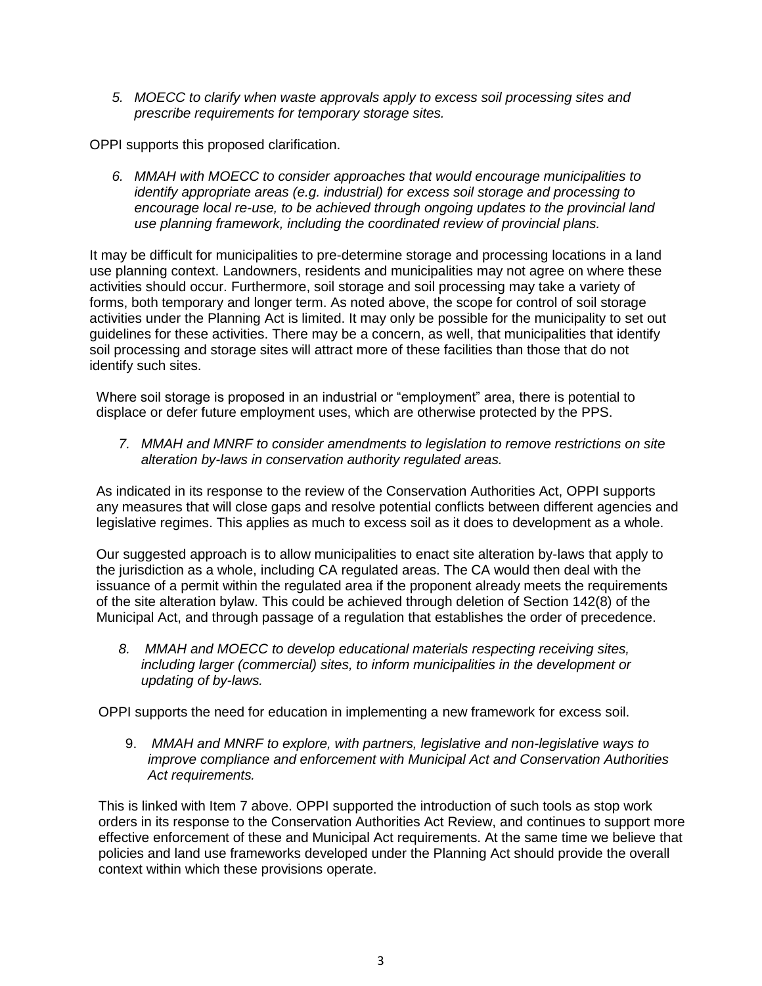*5. MOECC to clarify when waste approvals apply to excess soil processing sites and prescribe requirements for temporary storage sites.*

OPPI supports this proposed clarification.

*6. MMAH with MOECC to consider approaches that would encourage municipalities to identify appropriate areas (e.g. industrial) for excess soil storage and processing to encourage local re-use, to be achieved through ongoing updates to the provincial land use planning framework, including the coordinated review of provincial plans.* 

It may be difficult for municipalities to pre-determine storage and processing locations in a land use planning context. Landowners, residents and municipalities may not agree on where these activities should occur. Furthermore, soil storage and soil processing may take a variety of forms, both temporary and longer term. As noted above, the scope for control of soil storage activities under the Planning Act is limited. It may only be possible for the municipality to set out guidelines for these activities. There may be a concern, as well, that municipalities that identify soil processing and storage sites will attract more of these facilities than those that do not identify such sites.

Where soil storage is proposed in an industrial or "employment" area, there is potential to displace or defer future employment uses, which are otherwise protected by the PPS.

*7. MMAH and MNRF to consider amendments to legislation to remove restrictions on site alteration by-laws in conservation authority regulated areas.* 

As indicated in its response to the review of the Conservation Authorities Act, OPPI supports any measures that will close gaps and resolve potential conflicts between different agencies and legislative regimes. This applies as much to excess soil as it does to development as a whole.

Our suggested approach is to allow municipalities to enact site alteration by-laws that apply to the jurisdiction as a whole, including CA regulated areas. The CA would then deal with the issuance of a permit within the regulated area if the proponent already meets the requirements of the site alteration bylaw. This could be achieved through deletion of Section 142(8) of the Municipal Act, and through passage of a regulation that establishes the order of precedence.

*8. MMAH and MOECC to develop educational materials respecting receiving sites, including larger (commercial) sites, to inform municipalities in the development or updating of by-laws.* 

OPPI supports the need for education in implementing a new framework for excess soil.

9. *MMAH and MNRF to explore, with partners, legislative and non-legislative ways to improve compliance and enforcement with Municipal Act and Conservation Authorities Act requirements.*

This is linked with Item 7 above. OPPI supported the introduction of such tools as stop work orders in its response to the Conservation Authorities Act Review, and continues to support more effective enforcement of these and Municipal Act requirements. At the same time we believe that policies and land use frameworks developed under the Planning Act should provide the overall context within which these provisions operate.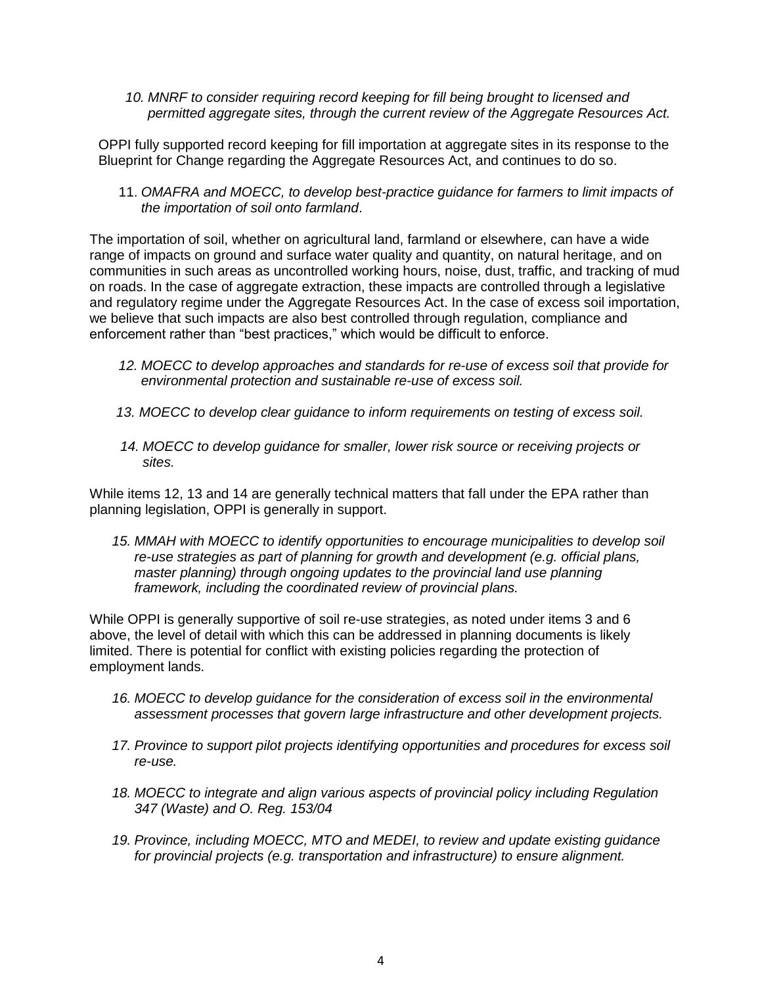*10. MNRF to consider requiring record keeping for fill being brought to licensed and permitted aggregate sites, through the current review of the Aggregate Resources Act.*

OPPI fully supported record keeping for fill importation at aggregate sites in its response to the Blueprint for Change regarding the Aggregate Resources Act, and continues to do so.

11. *OMAFRA and MOECC, to develop best-practice guidance for farmers to limit impacts of the importation of soil onto farmland*.

The importation of soil, whether on agricultural land, farmland or elsewhere, can have a wide range of impacts on ground and surface water quality and quantity, on natural heritage, and on communities in such areas as uncontrolled working hours, noise, dust, traffic, and tracking of mud on roads. In the case of aggregate extraction, these impacts are controlled through a legislative and regulatory regime under the Aggregate Resources Act. In the case of excess soil importation, we believe that such impacts are also best controlled through regulation, compliance and enforcement rather than "best practices," which would be difficult to enforce.

- *12. MOECC to develop approaches and standards for re-use of excess soil that provide for environmental protection and sustainable re-use of excess soil.*
- *13. MOECC to develop clear guidance to inform requirements on testing of excess soil.*
- *14. MOECC to develop guidance for smaller, lower risk source or receiving projects or sites.*

While items 12, 13 and 14 are generally technical matters that fall under the EPA rather than planning legislation, OPPI is generally in support.

*15. MMAH with MOECC to identify opportunities to encourage municipalities to develop soil re-use strategies as part of planning for growth and development (e.g. official plans, master planning) through ongoing updates to the provincial land use planning framework, including the coordinated review of provincial plans.* 

While OPPI is generally supportive of soil re-use strategies, as noted under items 3 and 6 above, the level of detail with which this can be addressed in planning documents is likely limited. There is potential for conflict with existing policies regarding the protection of employment lands.

- *16. MOECC to develop guidance for the consideration of excess soil in the environmental assessment processes that govern large infrastructure and other development projects.*
- *17. Province to support pilot projects identifying opportunities and procedures for excess soil re-use.*
- *18. MOECC to integrate and align various aspects of provincial policy including Regulation 347 (Waste) and O. Reg. 153/04*
- *19. Province, including MOECC, MTO and MEDEI, to review and update existing guidance for provincial projects (e.g. transportation and infrastructure) to ensure alignment.*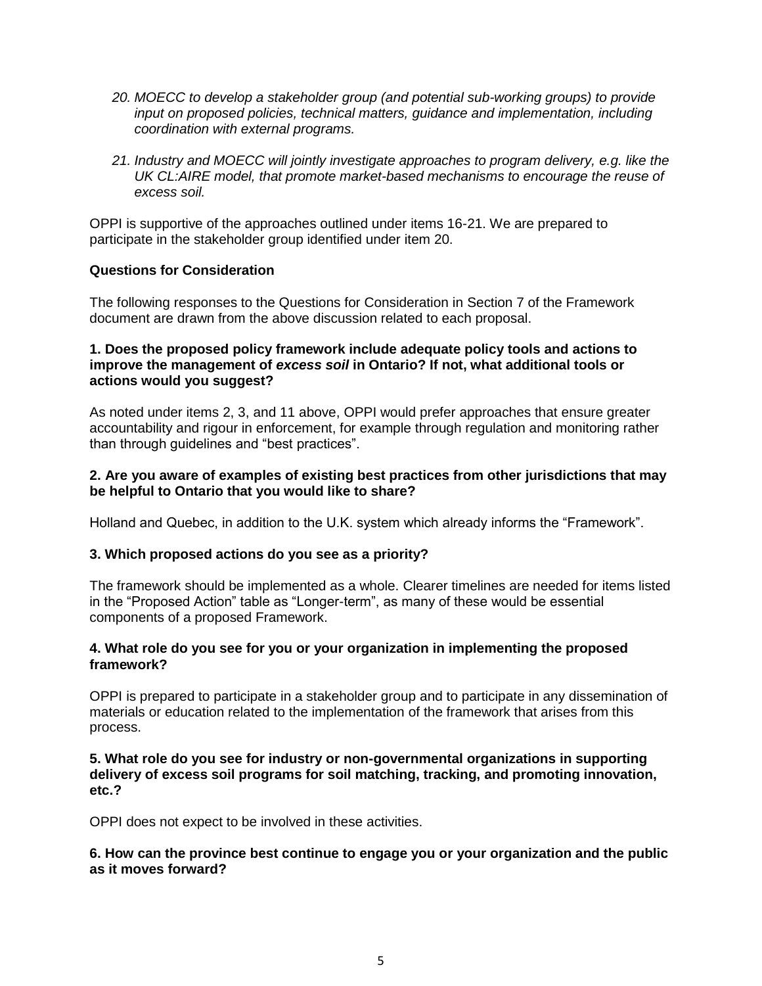- *20. MOECC to develop a stakeholder group (and potential sub-working groups) to provide input on proposed policies, technical matters, guidance and implementation, including coordination with external programs.*
- *21. Industry and MOECC will jointly investigate approaches to program delivery, e.g. like the UK CL:AIRE model, that promote market-based mechanisms to encourage the reuse of excess soil.*

OPPI is supportive of the approaches outlined under items 16-21. We are prepared to participate in the stakeholder group identified under item 20.

# **Questions for Consideration**

The following responses to the Questions for Consideration in Section 7 of the Framework document are drawn from the above discussion related to each proposal.

## **1. 1. Does the proposed policy framework include adequate policy tools and actions to improve the management of** *excess soil* **in Ontario? If not, what additional tools or actions would you suggest?**

As noted under items 2, 3, and 11 above, OPPI would prefer approaches that ensure greater accountability and rigour in enforcement, for example through regulation and monitoring rather than through guidelines and "best practices".

## **2. 2. Are you aware of examples of existing best practices from other jurisdictions that may be helpful to Ontario that you would like to share?**

Holland and Quebec, in addition to the U.K. system which already informs the "Framework".

#### **3. 3. Which proposed actions do you see as a priority?**

The framework should be implemented as a whole. Clearer timelines are needed for items listed in the "Proposed Action" table as "Longer-term", as many of these would be essential components of a proposed Framework.

## **4. 4. What role do you see for you or your organization in implementing the proposed framework?**

OPPI is prepared to participate in a stakeholder group and to participate in any dissemination of materials or education related to the implementation of the framework that arises from this process.

#### **5. 5. What role do you see for industry or non-governmental organizations in supporting delivery of excess soil programs for soil matching, tracking, and promoting innovation, etc.?**

OPPI does not expect to be involved in these activities.

## **6. 6. How can the province best continue to engage you or your organization and the public as it moves forward?**